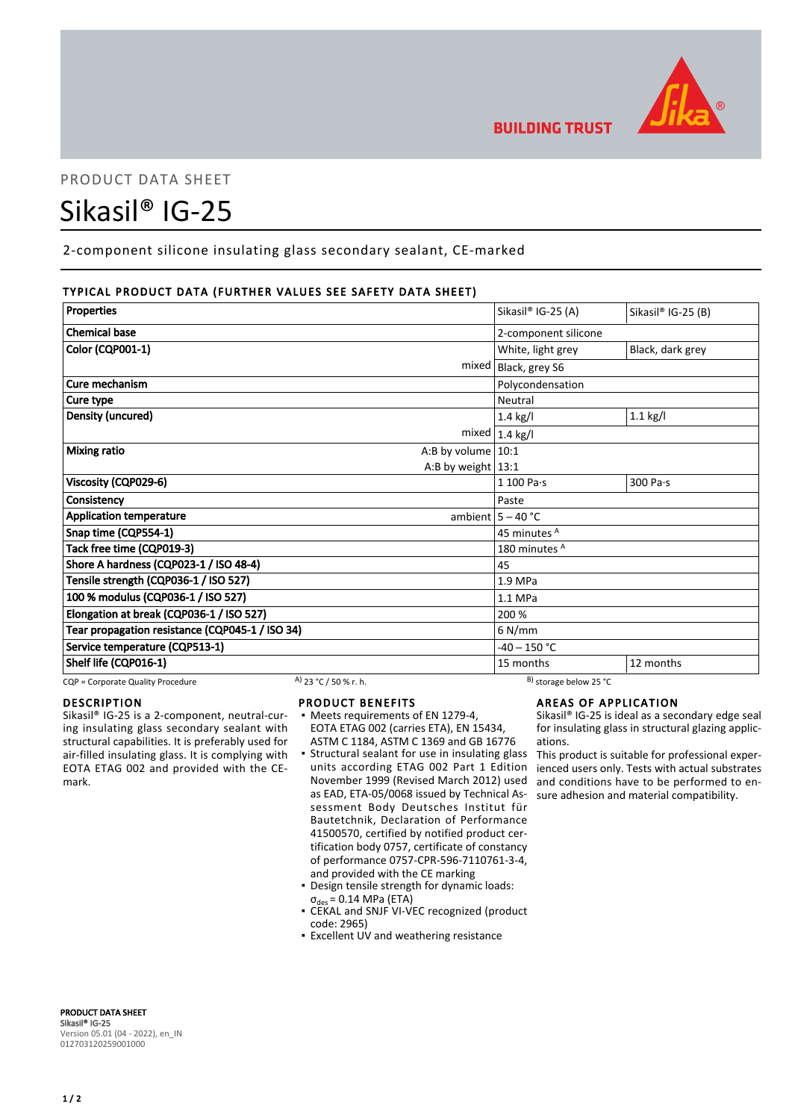

# PRODUCT DATA SHEET

# Sikasil® IG-25

2-component silicone insulating glass secondary sealant, CE-marked

# TYPICAL PRODUCT DATA (FURTHER VALUES SEE SAFETY DATA SHEET)

| Properties                                      | Sikasil® IG-25 (A)      | Sikasil® IG-25 (B) |
|-------------------------------------------------|-------------------------|--------------------|
|                                                 |                         |                    |
| <b>Chemical base</b>                            | 2-component silicone    |                    |
| <b>Color (CQP001-1)</b>                         | White, light grey       | Black, dark grey   |
| mixed                                           | Black, grey S6          |                    |
| Cure mechanism                                  | Polycondensation        |                    |
| Cure type                                       | Neutral                 |                    |
| Density (uncured)                               | $1.4$ kg/l              | $1.1$ kg/l         |
|                                                 | mixed $1.4$ kg/l        |                    |
| <b>Mixing ratio</b><br>A:B by volume $ 10:1$    |                         |                    |
| A:B by weight $13:1$                            |                         |                    |
| Viscosity (CQP029-6)                            | 1 100 Pa·s              | 300 Pa·s           |
| Consistency                                     | Paste                   |                    |
| <b>Application temperature</b>                  | ambient $5 - 40$ °C     |                    |
| Snap time (CQP554-1)                            | 45 minutes <sup>A</sup> |                    |
| Tack free time (CQP019-3)                       | 180 minutes A           |                    |
| Shore A hardness (CQP023-1 / ISO 48-4)          | 45                      |                    |
| Tensile strength (CQP036-1 / ISO 527)           | 1.9 MPa                 |                    |
| 100 % modulus (CQP036-1 / ISO 527)              | 1.1 MPa                 |                    |
| Elongation at break (CQP036-1 / ISO 527)        | 200 %                   |                    |
| Tear propagation resistance (CQP045-1 / ISO 34) | $6$ N/mm                |                    |
| Service temperature (CQP513-1)                  | $-40 - 150$ °C          |                    |
| Shelf life (CQP016-1)                           | 15 months               | 12 months          |

CQP = Corporate Quality Procedure A) 23 °C / 50 % r. h. B) storage below 25 °C

#### DESCRIPTION

Sikasil® IG-25 is a 2-component, neutral-curing insulating glass secondary sealant with structural capabilities. It is preferably used for air-filled insulating glass. It is complying with EOTA ETAG 002 and provided with the CEmark.

#### PRODUCT BENEFITS

- Meets requirements of EN 1279-4, EOTA ETAG 002 (carries ETA), EN 15434, ASTM C 1184, ASTM C 1369 and GB 16776
- **Structural sealant for use in insulating glass** units according ETAG 002 Part 1 Edition November 1999 (Revised March 2012) used as EAD, ETA-05/0068 issued by Technical Assessment Body Deutsches Institut für Bautetchnik, Declaration of Performance 41500570, certified by notified product certification body 0757, certificate of constancy of performance 0757-CPR-596-7110761-3-4, and provided with the CE marking
- Design tensile strength for dynamic loads:  $\sigma_{des}$  = 0.14 MPa (ETA)
- CEKAL and SNJF VI-VEC recognized (product code: 2965)
- **Excellent UV and weathering resistance**

#### AREAS OF APPLICATION

Sikasil® IG-25 is ideal as a secondary edge seal for insulating glass in structural glazing applications.

This product is suitable for professional experienced users only. Tests with actual substrates and conditions have to be performed to ensure adhesion and material compatibility.

PRODUCT DATA SHEET Sikasil® IG-25 Version 05.01 (04 - 2022), en\_IN 012703120259001000